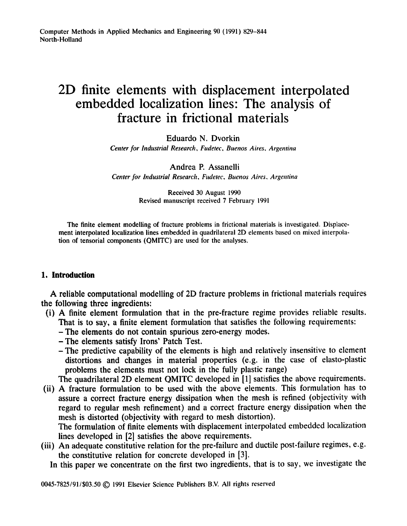# **2D finite elements with displacement interpolated embedded localization lines: The analysis of fracture in frictional materials**

Eduardo N. Dvorkin

*Center for Industrial Research, Fudetec, Buenos Aires, Argentina* 

# Andrea P. Assanelli

*Center for Industrial Research, Fudetec, Buenos Aires, Argentina* 

Received 30 August 1990 Revised manuscript received 7 February 1991

The finite element modelling of fracture problems in frictional materials is investigated. Displacement interpolated localization lines embedded in quadrilateral 2D elements based on mixed interpolation of tensorial components (QMITC) are used for the analyses.

# **1. Introduction**

A reliable computational modelling of 2D fracture problems in frictional materials requires the following three ingredients:

- (i) A finite element formulation that in the pre-fracture regime provides reliable results. That is to say, a finite element formulation that satisfies the following requirements:
	- **-The** elements do not contain spurious zero-energy modes.
	- -The elements satisfy Irons' Patch Test.
	- -The predictive capability of the elements is high and relatively insensitive to element distortions and changes in material properties (e.g. in the case of elasto-plastic problems the elements must not lock in the fully plastic range)

The quadrilateral 2D element QMITC developed in [1] satisfies the above requirements.

(ii) A fracture formulation to be used with the above elements. This formulation has to assure a correct fracture energy dissipation when the mesh is refined (objectivity with regard to regular mesh refinement) and a correct fracture energy dissipation when the mesh is distorted (objectivity with regard to mesh distortion).

The formulation of finite elements with displacement interpolated embedded localization lines developed in [2] satisfies the above requirements.

(iii) An adequate constitutive relation for the pre-failure and ductile post-failure regimes, e.g. the constitutive relation for concrete developed in [3].

In this paper we concentrate on the first two ingredients, that is to say, we investigate the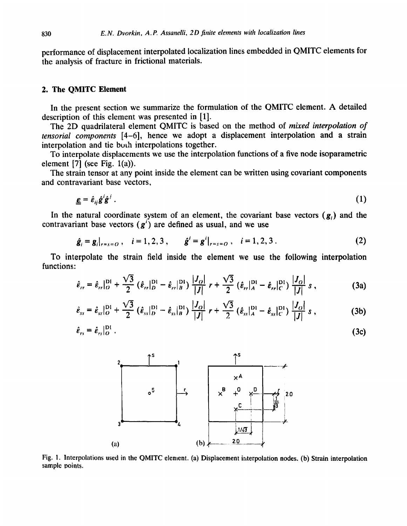performance of displacement interpolated localization lines embedded in QMITC elements for the analysis of fracture in frictional materials.

### 2. The QMITC Element

In the present section we summarize the formulation of the QMITC element. A detailed description of this element was presented in [1].

The 2D quadrilateral element QMITC is based on the method of *mixed interpolation of tensorial components* [4-6], hence we adopt a displacement interpolation and a strain interpolation and tie both interpolations together.

To interpolate displacements we use the interpolation functions of a five node isoparametric element  $[7]$  (see Fig. 1(a)).

The strain tensor at any point inside the element can be written using covariant components and contravariant base vectors,

$$
\underline{\boldsymbol{\varepsilon}} = \hat{\boldsymbol{\varepsilon}}_{ij} \hat{\boldsymbol{g}}^i \hat{\boldsymbol{g}}^j \tag{1}
$$

In the natural coordinate system of an element, the covariant base vectors  $(g_i)$  and the contravariant base vectors  $(g')$  are defined as usual, and we use

$$
\hat{\mathbf{g}}_i = \mathbf{g}_i|_{r=s=0}, \quad i=1,2,3, \qquad \hat{\mathbf{g}}^i = \mathbf{g}^i|_{r=s=0}, \quad i=1,2,3. \tag{2}
$$

To interpolate the strain field inside the element we use the following interpolation functions:

$$
\hat{\epsilon}_{rr} = \hat{\epsilon}_{rr}|_{O}^{D1} + \frac{\sqrt{3}}{2} (\hat{\epsilon}_{rr}|_{D}^{D1} - \hat{\epsilon}_{rr}|_{B}^{D1}) \frac{|J_{O}|}{|J|} r + \frac{\sqrt{3}}{2} (\hat{\epsilon}_{rr}|_{A}^{D1} - \hat{\epsilon}_{rr}|_{C}^{D1}) \frac{|J_{O}|}{|J|} s , \qquad (3a)
$$

$$
\hat{\epsilon}_{ss} = \hat{\epsilon}_{ss} \Big|_O^{\text{D1}} + \frac{\sqrt{3}}{2} \left( \hat{\epsilon}_{ss} \Big|_D^{\text{D1}} - \hat{\epsilon}_{ss} \Big|_B^{\text{D1}} \right) \frac{|J_O|}{|J|} r + \frac{\sqrt{3}}{2} \left( \hat{\epsilon}_{ss} \Big|_A^{\text{D1}} - \hat{\epsilon}_{ss} \Big|_C^{\text{D1}} \right) \frac{|J_O|}{|J|} s , \qquad (3b)
$$

$$
\hat{\varepsilon}_{rs} = \hat{\varepsilon}_{rs} \vert_{O}^{\text{DI}} \ . \tag{3c}
$$



Fig. 1. Interpolations used in the QMITC element. (a) Displacement interpolation nodes. (b) Strain interpolation sample points.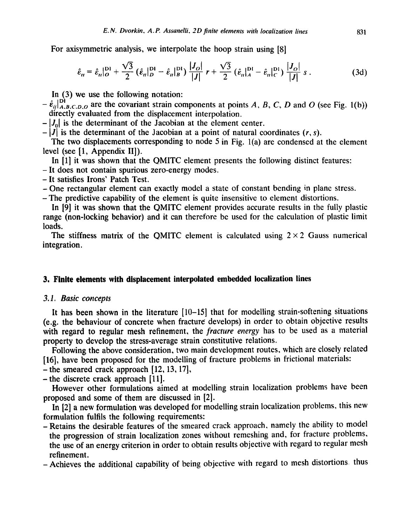For axisymmetric analysis, we interpolate the hoop strain using [8]

$$
\hat{\epsilon}_{tt} = \hat{\epsilon}_{tt} \vert_{O}^{D1} + \frac{\sqrt{3}}{2} \left( \hat{\epsilon}_{tt} \vert_{D}^{D1} - \hat{\epsilon}_{tt} \vert_{B}^{D1} \right) \frac{|J_O|}{|J|} r + \frac{\sqrt{3}}{2} \left( \hat{\epsilon}_{tt} \vert_{A}^{D1} - \hat{\epsilon}_{tt} \vert_{C}^{D1} \right) \frac{|J_O|}{|J|} s . \tag{3d}
$$

In (3) we use the following notation:

- $-\hat{\epsilon}_{ij}|_{A,B,C,D,O}^{D1}$  are the covariant strain components at points A, B, C, D and O (see Fig. 1(b)) directly evaluated from the displacement interpolation.
- $-|J_0|$  is the determinant of the Jacobian at the element center.
- $-|J|$  is the determinant of the Jacobian at a point of natural coordinates  $(r, s)$ .

The two displacements corresponding to node 5 in Fig. l(a) are condensed at the element level (see [1, Appendix II]).

In [1] it was shown that the QMITC element presents the following distinct features:

-It does not contain spurious zero-energy modes.

- **-It** satisfies Irons' Patch Test.
- One rectangular element can exactly model a state of constant bending in plane stress.

**-The** predictive capability of the element is quite insensitive to element distortions.

In [9] it was shown that the QMITC element provides accurate results in the fully plastic range (non-locking behavior) and it can therefore be used for the calculation of plastic limit loads.

The stiffness matrix of the QMITC element is calculated using  $2 \times 2$  Gauss numerical integration.

# **3. Finite elements with displacement interpolated embedded localization lines**

#### *3.1. Basic concepts*

It has been shown in the literature [10-15] that for modelling strain-softening situations (e.g. the behaviour of concrete when fracture' develops) in order to obtain objective results with regard to regular mesh refinement, the *fracture energy* has to be used as a material property to develop the stress-average strain constitutive relations.

Following the above consideration, two main development routes, which are closely related [16], have been proposed for the modelling of fracture problems in frictional materials:

 $-$  the smeared crack approach  $[12, 13, 17]$ ,

-the discrete crack approach [11].

However other formulations aimed at modelling strain localization problems have been proposed and some of them are discussed in [2].

In [2] a new formulation was developed for modelling strain localization problems, this new formulation fulfils the following requirements:

-Retains the desirable features of the smeared crack approach, namely the ability to model the progression of strain localization zones without remeshing and, for fracture problems, the use of an energy criterion in order to obtain results objective with regard to regular mesh refinement.

-Achieves the additional capability of being objective with regard to mesh distortions thus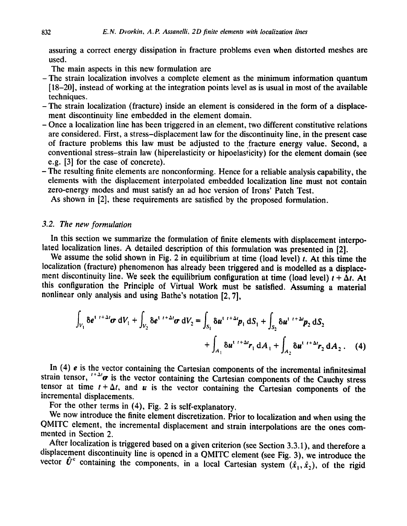assuring a correct energy dissipation in fracture problems even when distorted meshes are used.

The main aspects in this new formulation are

- -The strain localization involves a complete element as the minimum information quantum [18-20], instead of working at the integration points level as is usual in most of the available techniques.
- -The strain localization (fracture) inside an element is considered in the form of a displacement discontinuity line embedded in the element domain.
- Once a localization line has been triggered in an element, two different constitutive relations are considered. First, a stress-displacement law for the discontinuity line, in the present case of fracture problems this law must be adjusted to the fracture energy value. Second, a conventional stress-strain law (hiperelasticity or hipoelasticity) for the element domain (see e.g. [3] for the case of concrete).
- The resulting finite elements are nonconforming. Hence for a reliable analysis capability, the elements with the displacement interpolated embedded localization line must not contain zero-energy modes and must satisfy an ad hoc version of Irons' Patch Test.

As shown in [2], these requirements are satisfied by the proposed formulation.

## *3.2. The new formulation*

In this section we summarize the formulation of finite elements with displacement interpolated localization lines. A detailed description of this formulation was presented in [2].

We assume the solid shown in Fig. 2 in equilibrium at time (load level)  $t$ . At this time the localization (fracture) phenomenon has already been triggered and is modelled as a displacement discontinuity line. We seek the equilibrium configuration at time (load level)  $t + \Delta t$ . At this configuration the Principle of Virtual Work must be satisfied. Assuming a material nonlinear only analysis and using Bathe's notation [2, 7],

$$
\int_{V_1} \delta e^{i t + \Delta t} \sigma \, dV_1 + \int_{V_2} \delta e^{i t + \Delta t} \sigma \, dV_2 = \int_{S_1} \delta u^{i t + \Delta t} p_1 \, dS_1 + \int_{S_2} \delta u^{i t + \Delta t} p_2 \, dS_2
$$
\n
$$
+ \int_{A_1} \delta u^{i t + \Delta t} r_1 \, dA_1 + \int_{A_2} \delta u^{i t + \Delta t} r_2 \, dA_2 \,. \tag{4}
$$

In (4) e is the vector containing the Cartesian components of the incremental infinitesimal strain tensor,  $t + \Delta t$  is the vector containing the Cartesian components of the Cauchy stress tensor at time  $t + \Delta t$ , and u is the vector containing the Cartesian components of the incremental displacements.

For the other terms in (4), Fig. 2 is self-explanatory.

We now introduce the finite element discretization. Prior to localization and when using the QMITC element, the incremental displacement and strain interpolations are the ones commented in Section 2.

After localization is triggered based on a given criterion (see Section 3.3.1), and therefore a displacement discontinuity line is opened in a QMITC element (see Fig. 3), we introduce the vector  $\hat{U}^c$  containing the components, in a local Cartesian system  $(\hat{x}_1, \hat{x}_2)$ , of the rigid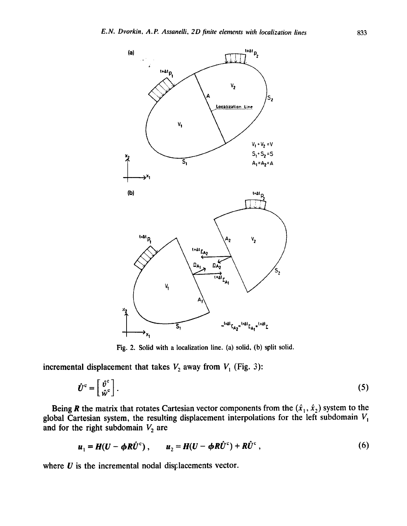

Fig. 2. Solid with a localization line. (a) solid, (b) split solid.

**incremental displacement that takes**  $V_2$  **away from**  $V_1$  **(Fig. 3):** 

$$
\hat{\boldsymbol{U}}^{\text{c}} = \begin{bmatrix} \hat{\boldsymbol{\theta}}^{\text{c}} \\ \hat{\boldsymbol{\psi}}^{\text{c}} \end{bmatrix} . \tag{5}
$$

**Being R the matrix that rotates Cartesian vector components from the**  $(\ddot{x}_1, \ddot{x}_2)$  **system to the** global Cartesian system, the resulting displacement interpolations for the left subdomain  $V_1$ and for the right subdomain  $V_2$  are

$$
u_1 = H(U - \phi R \hat{U}^c), \qquad u_2 = H(U - \phi R \hat{U}^c) + R \hat{U}^c, \qquad (6)
$$

where  $U$  is the incremental nodal displacements vector.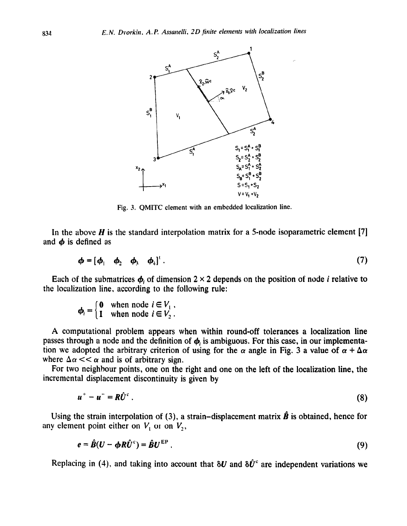

Fig. 3. QMITC element with an embedded localization line.

In the above  $H$  is the standard interpolation matrix for a 5-node isoparametric element [7] and  $\phi$  is defined as

$$
\boldsymbol{\phi} = [\boldsymbol{\phi}_1 \quad \boldsymbol{\phi}_2 \quad \boldsymbol{\phi}_3 \quad \boldsymbol{\phi}_4]^{\mathrm{T}} \,. \tag{7}
$$

Each of the submatrices  $\phi_i$ , of dimension 2 × 2 depends on the position of node *i* relative to the localization line, according to the following rule:

$$
\boldsymbol{\phi}_i = \begin{cases} 0 & \text{when node } i \in V_1, \\ 1 & \text{when node } i \in V_2. \end{cases}
$$

A computational problem appears when within round-off tolerances a localization line passes through a node and the definition of  $\phi$ , is ambiguous. For this case, in our implementation we adopted the arbitrary criterion of using for the  $\alpha$  angle in Fig. 3 a value of  $\alpha + \Delta \alpha$ where  $\Delta \alpha \ll \alpha$  and is of arbitrary sign.

For two neighbour points, one on the right and one on the left of the localization line, the incremental displacement discontinuity is given by

$$
u^+ - u^- = R\hat{U}^c \tag{8}
$$

Using the strain interpolation of (3), a strain-displacement matrix  $\hat{\boldsymbol{B}}$  is obtained, hence for any element point either on  $V_1$  or on  $V_2$ ,

$$
e = \hat{B}(U - \phi R \hat{U}^c) = \hat{B} U^{EP}.
$$
 (9)

Replacing in (4), and taking into account that  $\delta U$  and  $\delta \hat{U}^c$  are independent variations we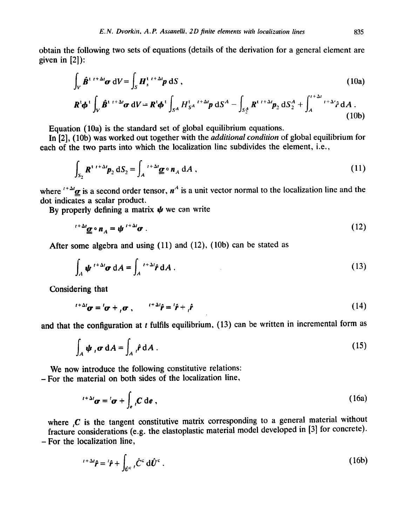obtain the following two sets of equations (details of the derivation for a general element are given in [2]):

$$
\int_{V} \hat{\boldsymbol{B}}^{t} \, t^{t+\Delta t} \boldsymbol{\sigma} \, dV = \int_{S} \boldsymbol{H}_{s}^{t} \, t^{t+\Delta t} \boldsymbol{p} \, dS \,, \tag{10a}
$$

$$
\boldsymbol{R}^t \boldsymbol{\phi}^t \int_V \hat{\boldsymbol{B}}^{t} \, t^{t+\Delta t} \boldsymbol{\sigma} \, dV = \boldsymbol{R}^t \boldsymbol{\phi}^t \int_{S^A} H_{S^A}^{t} \, t^{t+\Delta t} \boldsymbol{p} \, dS^A - \int_{S_2^A} \boldsymbol{R}^{t} \, t^{t+\Delta t} \boldsymbol{p}_2 \, dS_2^A + \int_A^{t+\Delta t} t^{t+\Delta t} \hat{\boldsymbol{r}} \, dA \, . \tag{10b}
$$

Equation (10a) is the standard set of global equilibrium equations.

In [2], (10b) was worked out together with the *additional condition* of global equilibrium for each of the two parts into which the localization line subdivides the element, i.e.,

$$
\int_{S_2} \mathbf{R}^{t} t^{t+\Delta t} \mathbf{p}_2 dS_2 = \int_A t^{t+\Delta t} \underline{\boldsymbol{\sigma}} \circ \mathbf{n}_A dA , \qquad (11)
$$

where  $t + \Delta t_{\alpha}$  is a second order tensor,  $n^A$  is a unit vector normal to the localization line and the dot indicates a scalar product.

By properly defining a matrix  $\psi$  we can write

$$
f^{+\Delta t} \underline{\sigma} \circ n_A = \psi^{t+\Delta t} \sigma \tag{12}
$$

After some algebra and using (11) and (12), (10b) can be stated as

$$
\int_{A} \psi^{i+\Delta t} \sigma \, dA = \int_{A}^{i+\Delta t} \hat{r} \, dA \,. \tag{13}
$$

Considering that

$$
f^{+\Delta t}\boldsymbol{\sigma} = \boldsymbol{\sigma} + {}_{t}\boldsymbol{\sigma} \;, \qquad f^{+\Delta t}\hat{\boldsymbol{r}} = f^{+\Delta t}\hat{\boldsymbol{r}} + {}_{t}\hat{\boldsymbol{r}} \tag{14}
$$

and that the configuration at  $t$  fulfils equilibrium, (13) can be written in incremental form as

$$
\int_{A} \psi_{i} \sigma \, dA = \int_{A} i \hat{r} \, dA \,. \tag{15}
$$

We now introduce the following constitutive relations:

**-** For the material on both sides of the localization line,

$$
{}^{t+\Delta t}\boldsymbol{\sigma} = {}^{t}\boldsymbol{\sigma} + \int_{e} {}_{t}C \, \mathrm{d}\boldsymbol{e} \;, \tag{16a}
$$

where  $\boldsymbol{C}$  is the tangent constitutive matrix corresponding to a general material without fracture considerations (e.g. the elastoplastic material model developed in [3] for concrete). **-For** the localization line,

$$
t + \Delta t \hat{\mathbf{r}} = t\hat{\mathbf{r}} + \int_{\hat{\mathbf{U}}^c} t \hat{\mathbf{C}}^c \, d\hat{\mathbf{U}}^c \,. \tag{16b}
$$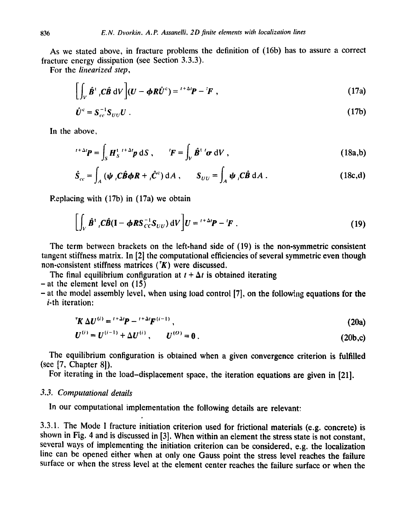As we stated above, in fracture problems the definition of (16b) has to assure a correct fracture energy dissipation (see Section 3.3.3).

For the *linearized step,* 

$$
\left[\int_{V} \hat{\boldsymbol{B}}^{t} \, dV \right] (U - \boldsymbol{\phi} R \hat{U}^{c}) = \, t + \Delta t \, \boldsymbol{P} - \, t \, \boldsymbol{F} \tag{17a}
$$

$$
\hat{\boldsymbol{U}}^{\mathrm{c}} = \boldsymbol{S}_{cc}^{-1} \boldsymbol{S}_{UU} \boldsymbol{U} \ . \tag{17b}
$$

In the above,

$$
{}^{t+\Delta t}P = \int_{S} H_S^{t-t+\Delta t} p \, dS \,, \qquad {}^{t}F = \int_{V} \hat{B}^{t} {}^{t} \sigma \, dV \,, \tag{18a,b}
$$

$$
\hat{S}_{cc} = \int_A (\psi \, \rho \hat{B} \phi R + \rho \hat{C}^c) \, \mathrm{d}A \;, \qquad S_{UU} = \int_A \psi \, \rho \hat{B} \, \mathrm{d}A \; . \tag{18c,d}
$$

Replacing with  $(17b)$  in  $(17a)$  we obtain

$$
\left[\int_{V} \hat{\boldsymbol{B}}^{t} \, \boldsymbol{C} \hat{\boldsymbol{B}} (\mathbf{I} - \boldsymbol{\phi} \boldsymbol{R} \boldsymbol{S}_{CC}^{-1} \boldsymbol{S}_{UU}) \, \mathrm{d}V \right] \boldsymbol{U} = \boldsymbol{V}^{+ \Delta t} \boldsymbol{P} - \boldsymbol{F} \; . \tag{19}
$$

The term between brackets on the left-hand side of (19) is the non-symmetric consistent tangent stiffness matrix. In [2] the computational efficiencies of several symmetric even though non-consistent stiffness matrices  $(K)$  were discussed.

The final equilibrium configuration at  $t + \Delta t$  is obtained iterating  $-$  at the element level on  $(15)$ 

 $-$  at the model assembly level, when using load control [7], on the following equations for the i-th iteration:

$$
{}^{\mathsf{T}}\!K \,\Delta U^{(i)} = {}^{i+\Delta i}P - {}^{i+\Delta i}F^{(i-1)},\tag{20a}
$$

$$
U^{(i)} = U^{(i-1)} + \Delta U^{(i)}, \qquad U^{(O)} = 0.
$$
 (20b,c)

The equilibrium configuration is obtained when a given convergence criterion is fulfilled (see [7, Chapter 81).

For iterating in the load-displacement space, the iteration equations are given in [21].

# *3.3. Computational details*

In our computational implementation the following details are relevant:

3.3.1. The Mode I fracture initiation criterion used for frictional materials (e.g. concrete) is shown in Fig. 4 and is discussed in [3]. When within an element the stress state is not constant, several ways of implementing the initiation criterion can be considered, e.g. the localization line can be opened either when at only one Gauss point the stress level reaches the failure surface or when the stress level at the element center reaches the failure surface or when the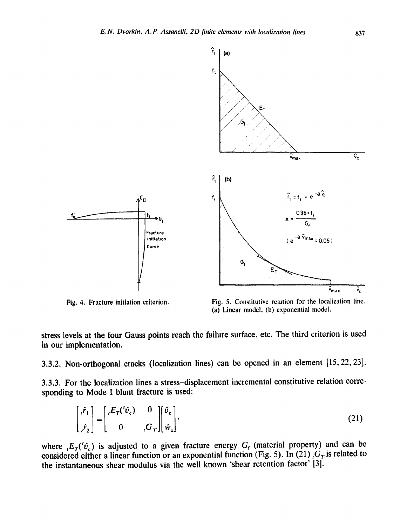

Fig. 4. Fracture initiation criterion.

Fig. 5. Constitutive retation for the localization line. (a) Linear model, (b) exponential model.

stress levels at the four Gauss points reach the failure surface, etc. The third criterion is used in our implementation.

3.3.2. Non-orthogonal cracks (localization lines) can be opened in an element [15, 22, 23].

3.3.3. For the localization lines a stress-displacement incremental constitutive relation corresponding to Mode I blunt fracture is used:

$$
\begin{bmatrix} i\hat{r}_1 \\ \hat{r}_2 \end{bmatrix} = \begin{bmatrix} E_T(^{i}\hat{v}_c) & 0 \\ 0 & {}_i G_T \end{bmatrix} \begin{bmatrix} \hat{v}_c \\ \hat{w}_c \end{bmatrix},
$$
\n(21)

where  $E_T(f_{c_c})$  is adjusted to a given fracture energy  $G_f$  (material property) and can be considered either a linear function or an exponential function (Fig. 5). In (21)  $G<sub>T</sub>$  is related to the instantaneous shear modulus via the well known 'shear retention factor' [3].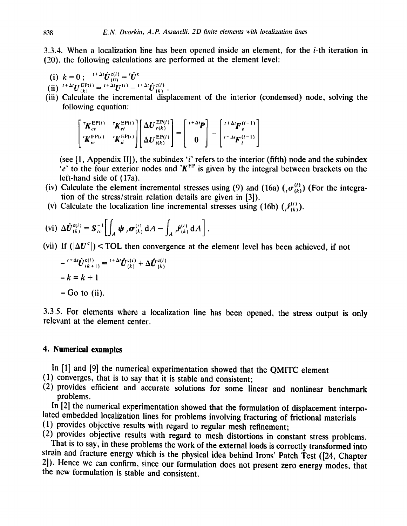3.3.4. When a localization line has been opened inside an element, for the i-th iteration in (20), the following calculations are performed at the element level:

(i)  $k = 0$ ;  $t^{+2i}U_{(0)}^{e(i)} = U^c$ <br>
(ii)  $t^{+2i}U_{(k)}^{EP(i)} = t^{+2i}U^{(i)} - t^{+2i}\hat{U}_{(k)}^{e(i)}$ .

(iii) Calculate the incremental displacement of the interior (condensed) node, solving the following equation:

$$
\begin{bmatrix}\nK_{ee}^{EP(i)} & K_{ei}^{EP(i)} \\
K_{ie}^{EP(i)} & K_{ii}^{EP(i)}\n\end{bmatrix}\n\begin{bmatrix}\n\Delta U_{e(k)}^{EP(i)} \\
\Delta U_{i(k)}^{EP(i)}\n\end{bmatrix} = \begin{bmatrix}\n\frac{1+\Delta t}{P} \\
0\n\end{bmatrix} - \begin{bmatrix}\n\frac{1+\Delta t}{P} \\
\frac{1+\Delta t}{P} \\
i\end{bmatrix}
$$

(see [1, Appendix II]), the subindex 'i' refers to the interior (fifth) node and the subindex  $\mathcal{P}$  to the four exterior nodes and  $\mathcal{R}^{\text{E}}$  is given by the integral between brackets on the left-hand side of (17a).

- (iv) Calculate the element incremental stresses using (9) and (16a)  $({}_t\sigma_{(k)}^{(i)})$  (For the integration of the stress/strain relation details are given in [3]).
- (v) Calculate the localization line incremental stresses using (16b)  $(\hat{r}_{(k)}^{(t)})$ .

$$
\text{(vi) } \Delta \hat{U}_{(k)}^{c(i)} = S_{cc}^{-1} \bigg[ \int_A \psi_i \, \sigma_{(k)}^{(i)} \, dA - \int_A f_{(k)}^{(i)} \, dA \bigg].
$$

(vii) If  $(|\Delta U^c|)$  < TOL then convergence at the element level has been achieved, if not

$$
- \binom{1+\Delta t}{k+1} \hat{U}_{(k+1)}^{\mathfrak{c}(i)} = \binom{1+\Delta t}{k} \hat{U}_{(k)}^{\mathfrak{c}(i)} + \Delta \hat{U}_{(k)}^{\mathfrak{c}(i)}
$$

$$
-k = k+1
$$

$$
- \text{Go to (ii)}.
$$

3.3.5. For elements where a localization line has been opened, the stress output is only relevant at the element center.

# **4. Numerical examples**

In [1] and [9] the numerical experimentation showed that the QMITC element

- (1) converges, that is to say that it is stable and consistent;
- (2) provides efficient and accurate solutions for some linear and nonlinear benchmark problems.

In [2] the numerical experimentation showed that the formulation of displacement interpolated embedded localization lines for problems involving fracturing of frictional materials

(1) provides objective results with regard to regular mesh refinement;

(2) provides objective results with regard to mesh distortions in constant stress problems. That is to say, in these problems the work of the external loads is correctly transformed into strain and fracture energy which is the physical idea behind Irons' Patch Test ([24, Chapter 2]). Hence we can confirm, since our formulation does not present zero energy modes, that the new formulation is stable and consistent.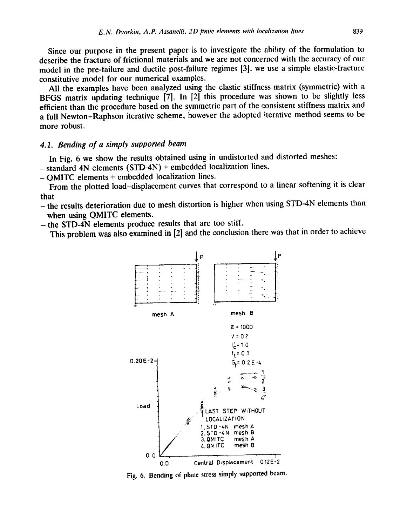**Since our purpose in the present paper is to investigate the ability of the formulation to describe the fracture of frictional materials and we are not concerned with the accuracy of our model in the pre-failure and ductile post-failure regimes [3]. we use a simple elastic-fracture constitutive model for our numerical examples.** 

**All the examples have been analyzed using the elastic stiffness matrix (symmetric) with a BFGS matrix updating technique [7]. In [2] this procedure was shown to be slightly less efficient than the procedure based on the symmetric part of the consistent stiffness matrix and a full Newton-Raphson iterative scheme, however the adopted iterative method seems to be more robust.** 

#### *4.1. Bending of a simply supported beam*

**In Fig. 6 we show the results obtained using in undistorted and distorted meshes:** 

**- standard 4N elements (STD-4N) + embedded localization lines,** 

**- QMITC elements + embedded localization lines.** 

**From the plotted load-displacement curves that correspond to a linear softening it is clear that** 

**-the results deterioration due to mesh distortion is higher when using STD-4N elements than when using QMITC elements.** 

**-the STD-4N elements produce results that are too stiff.** 

**This problem was also examined in [2] and the conclusion there was that in order to achieve** 



**Fig. 6. Bending of plane stress simply supported beam.**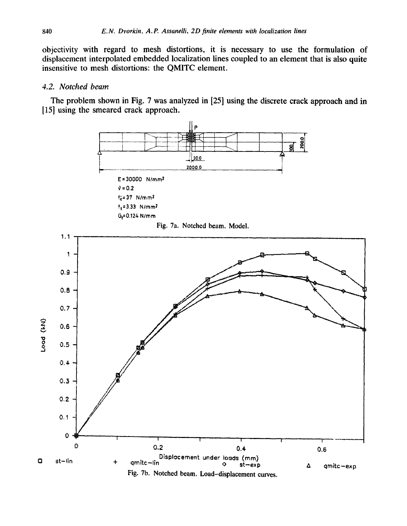objectivity with regard to mesh distortions, it is necessary to use the formulation of displacement interpolated embedded localization lines coupled to an element that is also quite insensitive to mesh distortions: the QMITC element.

### *4.2. Notched beam*

The problem shown in Fig. 7 was analyzed in [25] using the discrete crack approach and in [15] using the smeared crack approach.

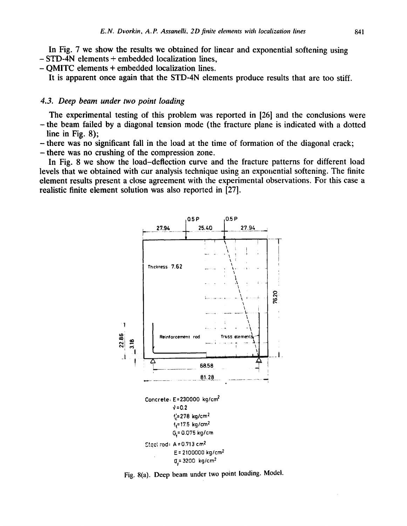**In Fig. 7 we show the results we obtained for linear and exponential softening using - STD-4N elements + embedded localization lines,** 

**- QMITC elements + embedded localization lines.** 

**It is apparent once again that the STD-4N elements produce results that are too stiff.** 

## *4.3. Deep beam under two point loading*

**The experimental testing of this problem was reported in [26] and the conclusions were -the beam failed by a diagonal tension mode (the fracture plane is indicated with a dotted line in Fig. 8);** 

**-there was no significant fall in the load at the time of formation of the diagonal crack;** 

**-there was no crushing of the compression zone.** 

**In Fig. 8 we show the load-deflection curve and the fracture patterns for different load levels that we obtained with cur analysis technique using an expoliential softening. The finite element results present a close agreement with the experimental observations. For this case a realistic finite element solution was also reported in [27].** 



**Fig.** 8(a). Deep **beam under two point loading. Model.**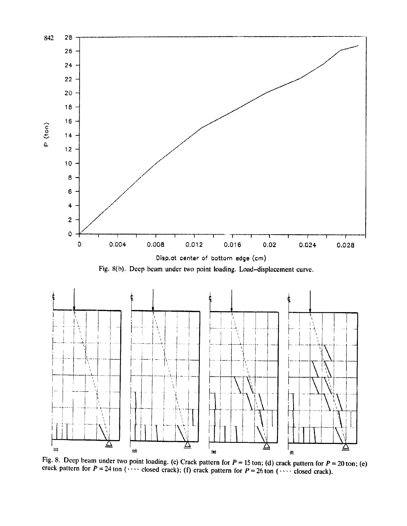

Fig. 8. Deep beam under two point loading. (c) Crack pattern for  $P = 15$  ton; (d) crack pattern for  $P = 20$  ton; (e) crack pattern for  $P = 24$  ton (.... closed crack); (f) crack pattern for  $P = 26$  ton (.... closed crack).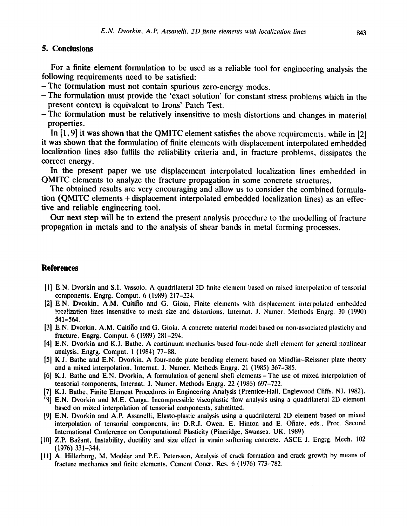# **5. Conclusions**

**For a finite element formulation to be used as a reliable tool for engineering analysis the following requirements need to be satisfied:** 

- **-The formulation must not contain spurious zero-energy modes.**
- **-The formulation must provide the 'exact solution' for constant stress problems which in the present context is equivalent to Irons' Patch Test.**
- **-The formulation must be relatively insensitive to mesh distortions and changes in material properties.**

**In [1,9] it was shown that the QMITC element satisfies the above requirements, while in [2] it was shown that the formulation of finite elements with displacement interpolated embedded localization lines also fulfils the reliability criteria and, in fracture problems, dissipates the correct energy.** 

**In the present paper we use displacement interpolated localization lines embedded in QMITC elements to analyze the fracture propagation in some concrete structures.** 

**The obtained results are very encouraging and allow us to consider the combined formulation (QMITC elements + displacement interpolated embedded localization lines) as an effective and reliable engineering tool.** 

**Our next step will be to extend the present analysis procedure to the modelling of fracture propagation in metals and to the analysis of shear bands in metal forming processes.** 

# **References**

- [1] E.N. Dvorkin and S.I. Vassolo, A quadrilateral 2D finite element based on mixed interpolation of tensorial components, Engrg. Comput. 6 (1989) 217-224.
- [2] E.N. Dvorkin, A.M. Cuitifio and G. Gioia, Finite elements with displacement interpolated embedded localization lines insensitive to mesh size and distortions, Internat. J. Numer. Methods Engrg. 30 (1990) 541-564.
- [3] E,N, Dvorkin, A.M. Cuitifio and G. Gioia, A concrete material model based on non-associated plasticity and fracture, Engrg. Comput. 6 (1989) 281-294.
- [4] E.N. Dvorkin and K.J. Bathe, A continuum mechanics based four-node **shell element** for general nonlinear analysis, Engrg. Comput. 1 (1984) 77-88.
- [5] K.J. Bathe and E.N. Dvorkin, A four-node plate bending element based on Mindlin-Reissner plate theory and a mixed interpolation, Internat. J. Numer. Methods Engrg. 21 (1985) 367-385.
- [6] K.J. Bathe and E.N. Dvorkin, A formulation of general shell elements- **The use** of mixed interpolation of tensoriai components, Internat. J. Numer. Methods Engrg. 22 (1986) 697-722.
- [7] K.J. Bathe, Finite Element Procedures in Engineering Analysis (Prentice-Hall, Englewood Cliffs, NJ, 1982).
- r~] E.N. Dvorkin and M.E. Canga, Incompressible viscoplastic flow analysis using a quadrilateral 2D **element**  based on mixed interpolation of tensorial components, submitted,
- [9] E.N. Dvorkin and A,P. Assaneili, Elasto-plastic analysis using a quadrilateral 2D element based on mixed interpolation of tensorial components, in: D.R.J. Owen, E. Hinton and E. Ofiate, eds., Proc. Second International Conference on Computational Plasticity (Pineridge, Swansea, UK, 1989).
- [10] Z.P. Bažant, Instability, ductility and size effect in strain softening concrete, ASCE J. Engrg. Mech. 102 (1976) 331-344.
- [11] A. Hillerborg, M. Modéer and P.E. Petersson, Analysis of crack formation and crack growth by means of fracture mechanics and finite elements, Cement Concr. Res. 6 (1976) 773-782.